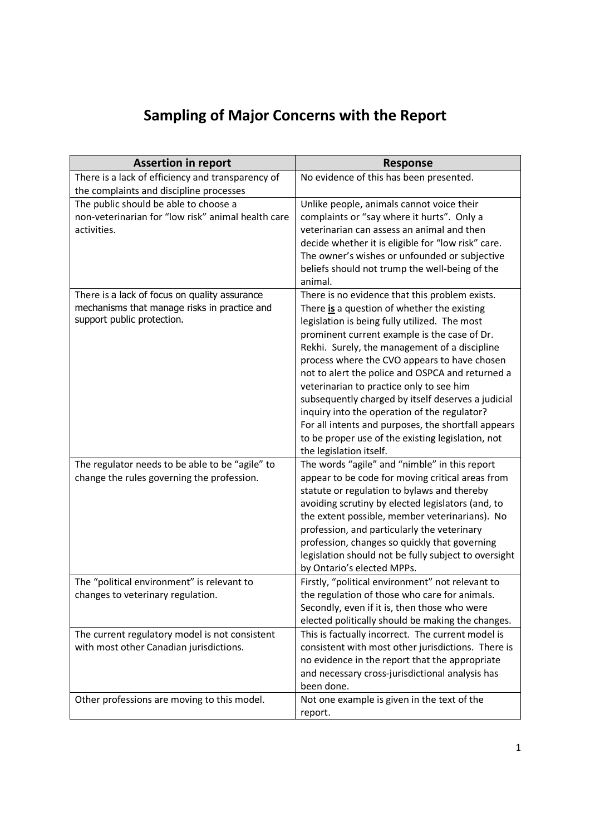## Sampling of Major Concerns with the Report

| <b>Assertion in report</b>                         | <b>Response</b>                                                                              |
|----------------------------------------------------|----------------------------------------------------------------------------------------------|
| There is a lack of efficiency and transparency of  | No evidence of this has been presented.                                                      |
| the complaints and discipline processes            |                                                                                              |
| The public should be able to choose a              | Unlike people, animals cannot voice their                                                    |
| non-veterinarian for "low risk" animal health care | complaints or "say where it hurts". Only a                                                   |
| activities.                                        | veterinarian can assess an animal and then                                                   |
|                                                    | decide whether it is eligible for "low risk" care.                                           |
|                                                    | The owner's wishes or unfounded or subjective                                                |
|                                                    | beliefs should not trump the well-being of the                                               |
|                                                    | animal.                                                                                      |
| There is a lack of focus on quality assurance      | There is no evidence that this problem exists.                                               |
| mechanisms that manage risks in practice and       | There is a question of whether the existing                                                  |
| support public protection.                         | legislation is being fully utilized. The most                                                |
|                                                    | prominent current example is the case of Dr.                                                 |
|                                                    | Rekhi. Surely, the management of a discipline                                                |
|                                                    | process where the CVO appears to have chosen                                                 |
|                                                    | not to alert the police and OSPCA and returned a                                             |
|                                                    | veterinarian to practice only to see him                                                     |
|                                                    | subsequently charged by itself deserves a judicial                                           |
|                                                    | inquiry into the operation of the regulator?                                                 |
|                                                    | For all intents and purposes, the shortfall appears                                          |
|                                                    | to be proper use of the existing legislation, not                                            |
|                                                    | the legislation itself.                                                                      |
| The regulator needs to be able to be "agile" to    | The words "agile" and "nimble" in this report                                                |
| change the rules governing the profession.         | appear to be code for moving critical areas from                                             |
|                                                    | statute or regulation to bylaws and thereby                                                  |
|                                                    | avoiding scrutiny by elected legislators (and, to                                            |
|                                                    | the extent possible, member veterinarians). No                                               |
|                                                    | profession, and particularly the veterinary<br>profession, changes so quickly that governing |
|                                                    | legislation should not be fully subject to oversight                                         |
|                                                    | by Ontario's elected MPPs.                                                                   |
| The "political environment" is relevant to         | Firstly, "political environment" not relevant to                                             |
| changes to veterinary regulation.                  | the regulation of those who care for animals.                                                |
|                                                    | Secondly, even if it is, then those who were                                                 |
|                                                    | elected politically should be making the changes.                                            |
| The current regulatory model is not consistent     | This is factually incorrect. The current model is                                            |
| with most other Canadian jurisdictions.            | consistent with most other jurisdictions. There is                                           |
|                                                    | no evidence in the report that the appropriate                                               |
|                                                    | and necessary cross-jurisdictional analysis has                                              |
|                                                    | been done.                                                                                   |
| Other professions are moving to this model.        | Not one example is given in the text of the                                                  |
|                                                    | report.                                                                                      |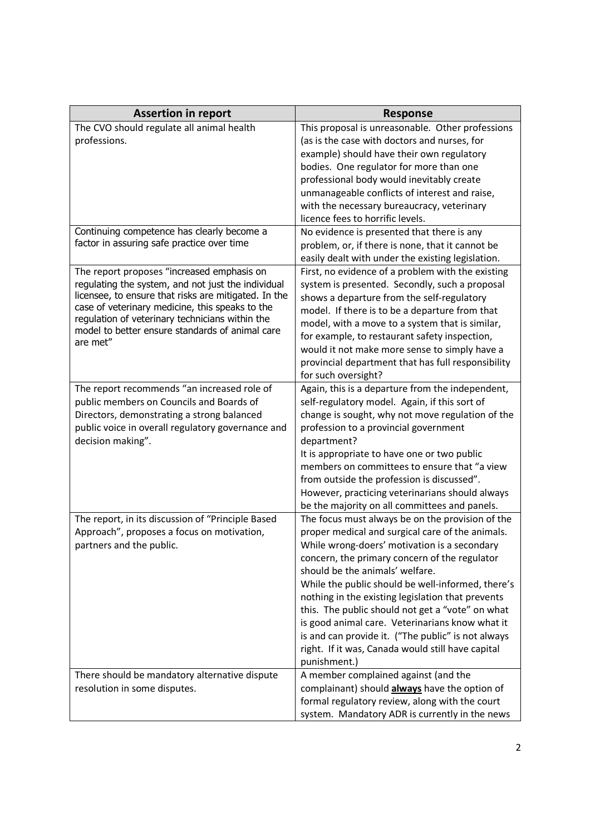| <b>Assertion in report</b>                                                                              | <b>Response</b>                                                                                  |
|---------------------------------------------------------------------------------------------------------|--------------------------------------------------------------------------------------------------|
| The CVO should regulate all animal health                                                               | This proposal is unreasonable. Other professions                                                 |
| professions.                                                                                            | (as is the case with doctors and nurses, for                                                     |
|                                                                                                         | example) should have their own regulatory                                                        |
|                                                                                                         | bodies. One regulator for more than one                                                          |
|                                                                                                         | professional body would inevitably create                                                        |
|                                                                                                         | unmanageable conflicts of interest and raise,                                                    |
|                                                                                                         | with the necessary bureaucracy, veterinary                                                       |
|                                                                                                         | licence fees to horrific levels.                                                                 |
| Continuing competence has clearly become a                                                              | No evidence is presented that there is any                                                       |
| factor in assuring safe practice over time                                                              | problem, or, if there is none, that it cannot be                                                 |
|                                                                                                         | easily dealt with under the existing legislation.                                                |
| The report proposes "increased emphasis on                                                              | First, no evidence of a problem with the existing                                                |
| regulating the system, and not just the individual                                                      | system is presented. Secondly, such a proposal                                                   |
| licensee, to ensure that risks are mitigated. In the<br>case of veterinary medicine, this speaks to the | shows a departure from the self-regulatory                                                       |
| regulation of veterinary technicians within the                                                         | model. If there is to be a departure from that                                                   |
| model to better ensure standards of animal care                                                         | model, with a move to a system that is similar,<br>for example, to restaurant safety inspection, |
| are met"                                                                                                | would it not make more sense to simply have a                                                    |
|                                                                                                         | provincial department that has full responsibility                                               |
|                                                                                                         | for such oversight?                                                                              |
| The report recommends "an increased role of                                                             | Again, this is a departure from the independent,                                                 |
| public members on Councils and Boards of                                                                | self-regulatory model. Again, if this sort of                                                    |
| Directors, demonstrating a strong balanced                                                              | change is sought, why not move regulation of the                                                 |
| public voice in overall regulatory governance and                                                       | profession to a provincial government                                                            |
| decision making".                                                                                       | department?                                                                                      |
|                                                                                                         | It is appropriate to have one or two public                                                      |
|                                                                                                         | members on committees to ensure that "a view                                                     |
|                                                                                                         | from outside the profession is discussed".                                                       |
|                                                                                                         | However, practicing veterinarians should always                                                  |
|                                                                                                         | be the majority on all committees and panels.                                                    |
| The report, in its discussion of "Principle Based                                                       | The focus must always be on the provision of the                                                 |
| Approach", proposes a focus on motivation,                                                              | proper medical and surgical care of the animals.                                                 |
| partners and the public.                                                                                | While wrong-doers' motivation is a secondary                                                     |
|                                                                                                         | concern, the primary concern of the regulator                                                    |
|                                                                                                         | should be the animals' welfare.                                                                  |
|                                                                                                         | While the public should be well-informed, there's                                                |
|                                                                                                         | nothing in the existing legislation that prevents                                                |
|                                                                                                         | this. The public should not get a "vote" on what                                                 |
|                                                                                                         | is good animal care. Veterinarians know what it                                                  |
|                                                                                                         | is and can provide it. ("The public" is not always                                               |
|                                                                                                         | right. If it was, Canada would still have capital                                                |
|                                                                                                         | punishment.)                                                                                     |
| There should be mandatory alternative dispute                                                           | A member complained against (and the                                                             |
| resolution in some disputes.                                                                            | complainant) should always have the option of                                                    |
|                                                                                                         | formal regulatory review, along with the court                                                   |
|                                                                                                         | system. Mandatory ADR is currently in the news                                                   |